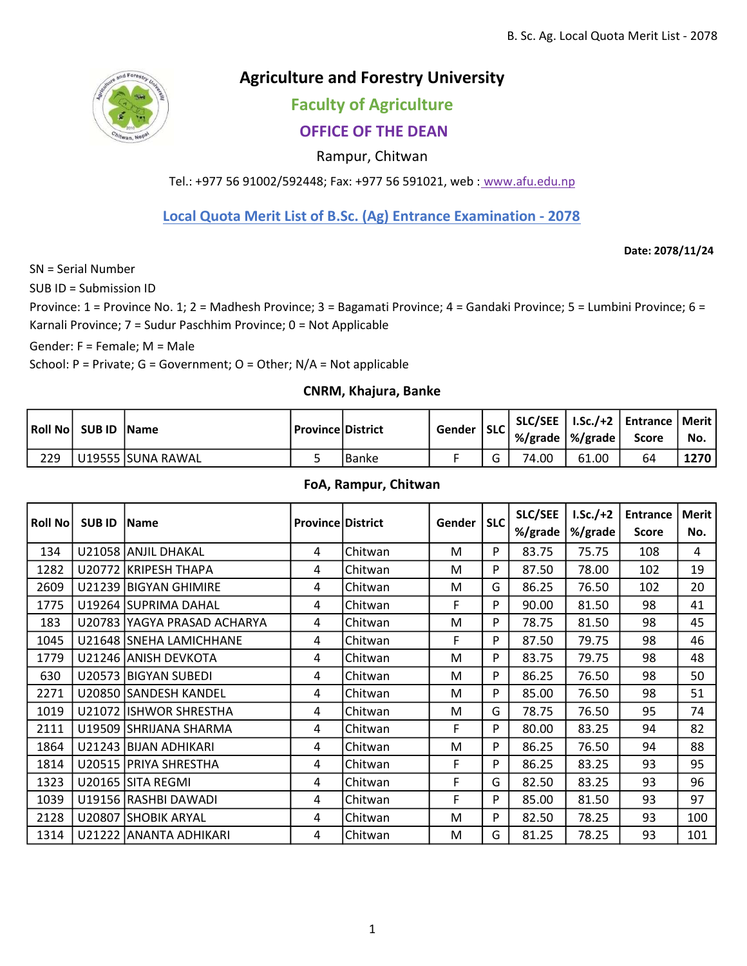

# Agriculture and Forestry University

# Faculty of Agriculture

## OFFICE OF THE DEAN

### Rampur, Chitwan

Tel.: +977 56 91002/592448; Fax: +977 56 591021, web : www.afu.edu.np

Local Quota Merit List of B.Sc. (Ag) Entrance Examination - 2078

Date: 2078/11/24

SN = Serial Number

SUB ID = Submission ID

Province: 1 = Province No. 1; 2 = Madhesh Province; 3 = Bagamati Province; 4 = Gandaki Province; 5 = Lumbini Province; 6 = Karnali Province; 7 = Sudur Paschhim Province; 0 = Not Applicable

Gender: F = Female; M = Male

School: P = Private; G = Government; O = Other; N/A = Not applicable

#### CNRM, Khajura, Banke

|     | Roll No SUB ID Name |                    | l Province   District |         | Gender | $ $ SLC                  | $%$ /grade $ %$ /grade $ $ |       | SLC/SEE   I.Sc./+2   Entrance   Merit  <br><b>Score</b> | No.         |
|-----|---------------------|--------------------|-----------------------|---------|--------|--------------------------|----------------------------|-------|---------------------------------------------------------|-------------|
| 229 |                     | U19555 ISUNA RAWAL |                       | l Banke |        | $\overline{\phantom{0}}$ | 74.00                      | 61.00 | 64                                                      | <b>1270</b> |

#### FoA, Rampur, Chitwan

| Roll No | <b>SUB ID</b> | <b>Name</b>                 | <b>Province District</b> |         | Gender | <b>SLC</b> | SLC/SEE<br>%/grade | $LSc./+2$<br>%/grade | <b>Entrance</b><br><b>Score</b> | <b>Merit</b><br>No. |
|---------|---------------|-----------------------------|--------------------------|---------|--------|------------|--------------------|----------------------|---------------------------------|---------------------|
| 134     |               | U21058 ANJIL DHAKAL         | 4                        | Chitwan | M      | P          | 83.75              | 75.75                | 108                             | 4                   |
| 1282    |               | U20772 KRIPESH THAPA        | 4                        | Chitwan | M      | P          | 87.50              | 78.00                | 102                             | 19                  |
| 2609    |               | U21239 BIGYAN GHIMIRE       | 4                        | Chitwan | M      | G          | 86.25              | 76.50                | 102                             | 20                  |
| 1775    |               | U19264 SUPRIMA DAHAL        | 4                        | Chitwan | F      | P          | 90.00              | 81.50                | 98                              | 41                  |
| 183     |               | U20783 YAGYA PRASAD ACHARYA | 4                        | Chitwan | M      | P          | 78.75              | 81.50                | 98                              | 45                  |
| 1045    |               | U21648 SNEHA LAMICHHANE     | 4                        | Chitwan | F      | P          | 87.50              | 79.75                | 98                              | 46                  |
| 1779    |               | U21246 ANISH DEVKOTA        | 4                        | Chitwan | M      | P          | 83.75              | 79.75                | 98                              | 48                  |
| 630     |               | U20573 BIGYAN SUBEDI        | 4                        | Chitwan | M      | P          | 86.25              | 76.50                | 98                              | 50                  |
| 2271    |               | U20850 SANDESH KANDEL       | 4                        | Chitwan | M      | P          | 85.00              | 76.50                | 98                              | 51                  |
| 1019    |               | U21072 ISHWOR SHRESTHA      | 4                        | Chitwan | M      | G          | 78.75              | 76.50                | 95                              | 74                  |
| 2111    |               | U19509 SHRIJANA SHARMA      | 4                        | Chitwan | F      | P          | 80.00              | 83.25                | 94                              | 82                  |
| 1864    |               | U21243 BIJAN ADHIKARI       | 4                        | Chitwan | M      | P          | 86.25              | 76.50                | 94                              | 88                  |
| 1814    |               | U20515 PRIYA SHRESTHA       | 4                        | Chitwan | F      | P          | 86.25              | 83.25                | 93                              | 95                  |
| 1323    |               | U20165 SITA REGMI           | 4                        | Chitwan | F      | G          | 82.50              | 83.25                | 93                              | 96                  |
| 1039    |               | U19156 RASHBI DAWADI        | 4                        | Chitwan | F      | P          | 85.00              | 81.50                | 93                              | 97                  |
| 2128    |               | U20807 SHOBIK ARYAL         | 4                        | Chitwan | M      | P          | 82.50              | 78.25                | 93                              | 100                 |
| 1314    |               | U21222 ANANTA ADHIKARI      | 4                        | Chitwan | M      | G          | 81.25              | 78.25                | 93                              | 101                 |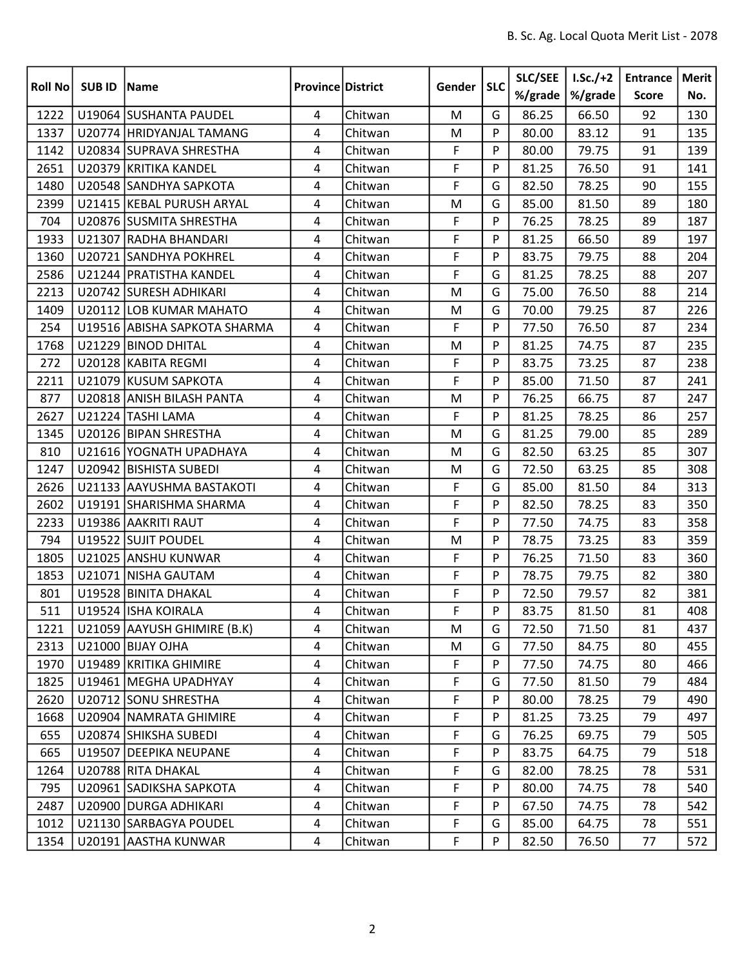| <b>Roll No</b> | <b>SUBID</b> | Name                         | <b>Province District</b> |         | Gender      | <b>SLC</b> | <b>SLC/SEE</b> | $1.5c./+2$ | <b>Entrance</b> | Merit |
|----------------|--------------|------------------------------|--------------------------|---------|-------------|------------|----------------|------------|-----------------|-------|
|                |              |                              |                          |         |             |            | %/grade        | %/grade    | <b>Score</b>    | No.   |
| 1222           |              | U19064 SUSHANTA PAUDEL       | 4                        | Chitwan | M           | G          | 86.25          | 66.50      | 92              | 130   |
| 1337           |              | U20774 HRIDYANJAL TAMANG     | 4                        | Chitwan | M           | P          | 80.00          | 83.12      | 91              | 135   |
| 1142           |              | U20834 SUPRAVA SHRESTHA      | 4                        | Chitwan | F           | P          | 80.00          | 79.75      | 91              | 139   |
| 2651           |              | U20379 KRITIKA KANDEL        | 4                        | Chitwan | $\mathsf F$ | P          | 81.25          | 76.50      | 91              | 141   |
| 1480           |              | U20548 SANDHYA SAPKOTA       | 4                        | Chitwan | F           | G          | 82.50          | 78.25      | 90              | 155   |
| 2399           |              | U21415 KEBAL PURUSH ARYAL    | 4                        | Chitwan | M           | G          | 85.00          | 81.50      | 89              | 180   |
| 704            |              | U20876 SUSMITA SHRESTHA      | 4                        | Chitwan | F           | P          | 76.25          | 78.25      | 89              | 187   |
| 1933           |              | U21307 RADHA BHANDARI        | 4                        | Chitwan | F           | P          | 81.25          | 66.50      | 89              | 197   |
| 1360           |              | U20721 SANDHYA POKHREL       | 4                        | Chitwan | F           | P          | 83.75          | 79.75      | 88              | 204   |
| 2586           |              | U21244 PRATISTHA KANDEL      | 4                        | Chitwan | F           | G          | 81.25          | 78.25      | 88              | 207   |
| 2213           |              | U20742 SURESH ADHIKARI       | 4                        | Chitwan | M           | G          | 75.00          | 76.50      | 88              | 214   |
| 1409           |              | U20112 LOB KUMAR MAHATO      | 4                        | Chitwan | M           | G          | 70.00          | 79.25      | 87              | 226   |
| 254            |              | U19516 ABISHA SAPKOTA SHARMA | 4                        | Chitwan | F           | P          | 77.50          | 76.50      | 87              | 234   |
| 1768           |              | U21229 BINOD DHITAL          | 4                        | Chitwan | M           | P          | 81.25          | 74.75      | 87              | 235   |
| 272            |              | U20128 KABITA REGMI          | 4                        | Chitwan | F           | P          | 83.75          | 73.25      | 87              | 238   |
| 2211           |              | U21079 KUSUM SAPKOTA         | 4                        | Chitwan | F           | P          | 85.00          | 71.50      | 87              | 241   |
| 877            |              | U20818 ANISH BILASH PANTA    | 4                        | Chitwan | M           | P          | 76.25          | 66.75      | 87              | 247   |
| 2627           |              | U21224 TASHI LAMA            | 4                        | Chitwan | F           | P          | 81.25          | 78.25      | 86              | 257   |
| 1345           |              | U20126 BIPAN SHRESTHA        | 4                        | Chitwan | M           | G          | 81.25          | 79.00      | 85              | 289   |
| 810            |              | U21616 YOGNATH UPADHAYA      | 4                        | Chitwan | M           | G          | 82.50          | 63.25      | 85              | 307   |
| 1247           |              | U20942 BISHISTA SUBEDI       | 4                        | Chitwan | M           | G          | 72.50          | 63.25      | 85              | 308   |
| 2626           |              | U21133 AAYUSHMA BASTAKOTI    | 4                        | Chitwan | F           | G          | 85.00          | 81.50      | 84              | 313   |
| 2602           |              | U19191 SHARISHMA SHARMA      | 4                        | Chitwan | $\mathsf F$ | P          | 82.50          | 78.25      | 83              | 350   |
| 2233           |              | U19386 AAKRITI RAUT          | 4                        | Chitwan | F           | P          | 77.50          | 74.75      | 83              | 358   |
| 794            |              | U19522 SUJIT POUDEL          | 4                        | Chitwan | M           | P          | 78.75          | 73.25      | 83              | 359   |
| 1805           |              | U21025 ANSHU KUNWAR          | 4                        | Chitwan | F           | P          | 76.25          | 71.50      | 83              | 360   |
| 1853           |              | U21071 NISHA GAUTAM          | 4                        | Chitwan | F           | P          | 78.75          | 79.75      | 82              | 380   |
| 801            |              | U19528 BINITA DHAKAL         | 4                        | Chitwan | F           | P          | 72.50          | 79.57      | 82              | 381   |
| 511            |              | U19524 ISHA KOIRALA          | 4                        | Chitwan | $\mathsf F$ | $\sf P$    | 83.75          | 81.50      | 81              | 408   |
| 1221           |              | U21059 AAYUSH GHIMIRE (B.K)  | 4                        | Chitwan | M           | G          | 72.50          | 71.50      | 81              | 437   |
| 2313           |              | U21000 BIJAY OJHA            | 4                        | Chitwan | M           | G          | 77.50          | 84.75      | 80              | 455   |
| 1970           |              | U19489 KRITIKA GHIMIRE       | 4                        | Chitwan | F           | P          | 77.50          | 74.75      | 80              | 466   |
| 1825           |              | U19461 MEGHA UPADHYAY        | 4                        | Chitwan | F           | G          | 77.50          | 81.50      | 79              | 484   |
| 2620           |              | U20712 SONU SHRESTHA         | 4                        | Chitwan | F           | P          | 80.00          | 78.25      | 79              | 490   |
| 1668           |              | U20904   NAMRATA GHIMIRE     | 4                        | Chitwan | F           | P          | 81.25          | 73.25      | 79              | 497   |
| 655            |              | U20874 SHIKSHA SUBEDI        | 4                        | Chitwan | F           | G          | 76.25          | 69.75      | 79              | 505   |
| 665            |              | U19507 DEEPIKA NEUPANE       | 4                        | Chitwan | F           | P          | 83.75          | 64.75      | 79              | 518   |
| 1264           |              | U20788 RITA DHAKAL           | 4                        | Chitwan | F           | G          | 82.00          | 78.25      | 78              | 531   |
| 795            |              | U20961 SADIKSHA SAPKOTA      | 4                        | Chitwan | F           | P          | 80.00          | 74.75      | 78              | 540   |
| 2487           |              | U20900 DURGA ADHIKARI        | 4                        | Chitwan | F           | P          | 67.50          | 74.75      | 78              | 542   |
| 1012           |              | U21130 SARBAGYA POUDEL       | 4                        | Chitwan | F           | G          | 85.00          | 64.75      | 78              | 551   |
| 1354           |              | U20191 AASTHA KUNWAR         | 4                        | Chitwan | $\mathsf F$ | P          | 82.50          | 76.50      | 77              | 572   |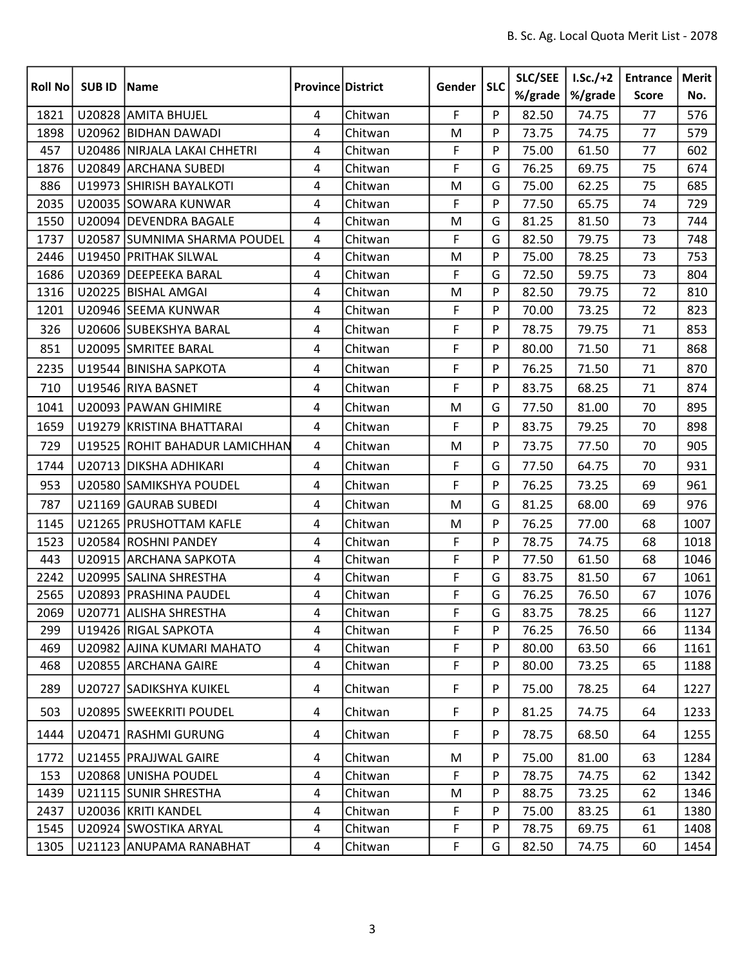| <b>Roll No</b> | <b>SUBID</b> | Name                           | <b>Province District</b> |         | Gender       | <b>SLC</b> | SLC/SEE<br>%/grade | $1.5c./+2$<br>%/grade | <b>Entrance</b><br><b>Score</b> | Merit<br>No. |
|----------------|--------------|--------------------------------|--------------------------|---------|--------------|------------|--------------------|-----------------------|---------------------------------|--------------|
| 1821           |              | U20828 AMITA BHUJEL            | 4                        | Chitwan | F            | P          | 82.50              | 74.75                 | 77                              | 576          |
| 1898           |              | U20962 BIDHAN DAWADI           | 4                        | Chitwan | M            | P          | 73.75              | 74.75                 | 77                              | 579          |
| 457            |              | U20486 NIRJALA LAKAI CHHETRI   | 4                        | Chitwan | $\mathsf F$  | P          | 75.00              | 61.50                 | 77                              | 602          |
| 1876           |              | U20849 ARCHANA SUBEDI          | 4                        | Chitwan | $\mathsf F$  | G          | 76.25              | 69.75                 | 75                              | 674          |
| 886            |              | U19973 SHIRISH BAYALKOTI       | 4                        | Chitwan | M            | G          | 75.00              | 62.25                 | 75                              | 685          |
| 2035           |              | U20035 SOWARA KUNWAR           | 4                        | Chitwan | F            | P          | 77.50              | 65.75                 | 74                              | 729          |
| 1550           |              | U20094 DEVENDRA BAGALE         | 4                        | Chitwan | M            | G          | 81.25              | 81.50                 | 73                              | 744          |
| 1737           |              | U20587 SUMNIMA SHARMA POUDEL   | 4                        | Chitwan | F            | G          | 82.50              | 79.75                 | 73                              | 748          |
| 2446           |              | U19450 PRITHAK SILWAL          | 4                        | Chitwan | M            | P          | 75.00              | 78.25                 | 73                              | 753          |
| 1686           |              | U20369 DEEPEEKA BARAL          | 4                        | Chitwan | $\mathsf{F}$ | G          | 72.50              | 59.75                 | 73                              | 804          |
| 1316           |              | U20225 BISHAL AMGAI            | 4                        | Chitwan | M            | P          | 82.50              | 79.75                 | 72                              | 810          |
| 1201           |              | U20946 SEEMA KUNWAR            | 4                        | Chitwan | F            | P          | 70.00              | 73.25                 | 72                              | 823          |
| 326            |              | U20606 SUBEKSHYA BARAL         | 4                        | Chitwan | F            | P          | 78.75              | 79.75                 | 71                              | 853          |
| 851            |              | U20095 SMRITEE BARAL           | 4                        | Chitwan | F            | P          | 80.00              | 71.50                 | 71                              | 868          |
| 2235           |              | U19544 BINISHA SAPKOTA         | 4                        | Chitwan | F            | P          | 76.25              | 71.50                 | 71                              | 870          |
| 710            |              | U19546 RIYA BASNET             | 4                        | Chitwan | F            | P          | 83.75              | 68.25                 | 71                              | 874          |
| 1041           |              | U20093 PAWAN GHIMIRE           | 4                        | Chitwan | M            | G          | 77.50              | 81.00                 | 70                              | 895          |
| 1659           |              | U19279 KRISTINA BHATTARAI      | 4                        | Chitwan | F            | P          | 83.75              | 79.25                 | 70                              | 898          |
| 729            |              | U19525 ROHIT BAHADUR LAMICHHAN | 4                        | Chitwan | M            | P          | 73.75              | 77.50                 | 70                              | 905          |
| 1744           |              | U20713 DIKSHA ADHIKARI         | 4                        | Chitwan | F            | G          | 77.50              | 64.75                 | 70                              | 931          |
| 953            |              | U20580 SAMIKSHYA POUDEL        | 4                        | Chitwan | F            | P          | 76.25              | 73.25                 | 69                              | 961          |
| 787            |              | U21169 GAURAB SUBEDI           | 4                        | Chitwan | M            | G          | 81.25              | 68.00                 | 69                              | 976          |
| 1145           |              | U21265 PRUSHOTTAM KAFLE        | 4                        | Chitwan | M            | P          | 76.25              | 77.00                 | 68                              | 1007         |
| 1523           |              | U20584 ROSHNI PANDEY           | 4                        | Chitwan | F            | P          | 78.75              | 74.75                 | 68                              | 1018         |
| 443            |              | U20915 ARCHANA SAPKOTA         | 4                        | Chitwan | F            | P          | 77.50              | 61.50                 | 68                              | 1046         |
| 2242           |              | U20995 SALINA SHRESTHA         | $\overline{4}$           | Chitwan | $\mathsf F$  | G          | 83.75              | 81.50                 | 67                              | 1061         |
| 2565           |              | U20893 PRASHINA PAUDEL         | 4                        | Chitwan | F            | G          | 76.25              | 76.50                 | 67                              | 1076         |
| 2069           |              | U20771 ALISHA SHRESTHA         | 4                        | Chitwan | F            | G          | 83.75              | 78.25                 | 66                              | 1127         |
| 299            |              | U19426 RIGAL SAPKOTA           | 4                        | Chitwan | F            | P          | 76.25              | 76.50                 | 66                              | 1134         |
| 469            |              | U20982 AJINA KUMARI MAHATO     | 4                        | Chitwan | $\mathsf F$  | P          | 80.00              | 63.50                 | 66                              | 1161         |
| 468            |              | U20855 ARCHANA GAIRE           | 4                        | Chitwan | $\mathsf F$  | P          | 80.00              | 73.25                 | 65                              | 1188         |
| 289            |              | U20727 SADIKSHYA KUIKEL        | 4                        | Chitwan | F            | P          | 75.00              | 78.25                 | 64                              | 1227         |
| 503            |              | U20895 SWEEKRITI POUDEL        | 4                        | Chitwan | F            | P          | 81.25              | 74.75                 | 64                              | 1233         |
| 1444           |              | U20471 RASHMI GURUNG           | 4                        | Chitwan | F            | P          | 78.75              | 68.50                 | 64                              | 1255         |
| 1772           |              | U21455 PRAJJWAL GAIRE          | 4                        | Chitwan | M            | P          | 75.00              | 81.00                 | 63                              | 1284         |
| 153            |              | U20868 UNISHA POUDEL           | $\overline{4}$           | Chitwan | F            | P          | 78.75              | 74.75                 | 62                              | 1342         |
| 1439           |              | U21115 SUNIR SHRESTHA          | $\overline{4}$           | Chitwan | M            | P          | 88.75              | 73.25                 | 62                              | 1346         |
| 2437           |              | U20036 KRITI KANDEL            | 4                        | Chitwan | $\mathsf F$  | P          | 75.00              | 83.25                 | 61                              | 1380         |
| 1545           |              | U20924 SWOSTIKA ARYAL          | 4                        | Chitwan | F            | P          | 78.75              | 69.75                 | 61                              | 1408         |
| 1305           |              | U21123 ANUPAMA RANABHAT        | 4                        | Chitwan | $\mathsf F$  | G          | 82.50              | 74.75                 | 60                              | 1454         |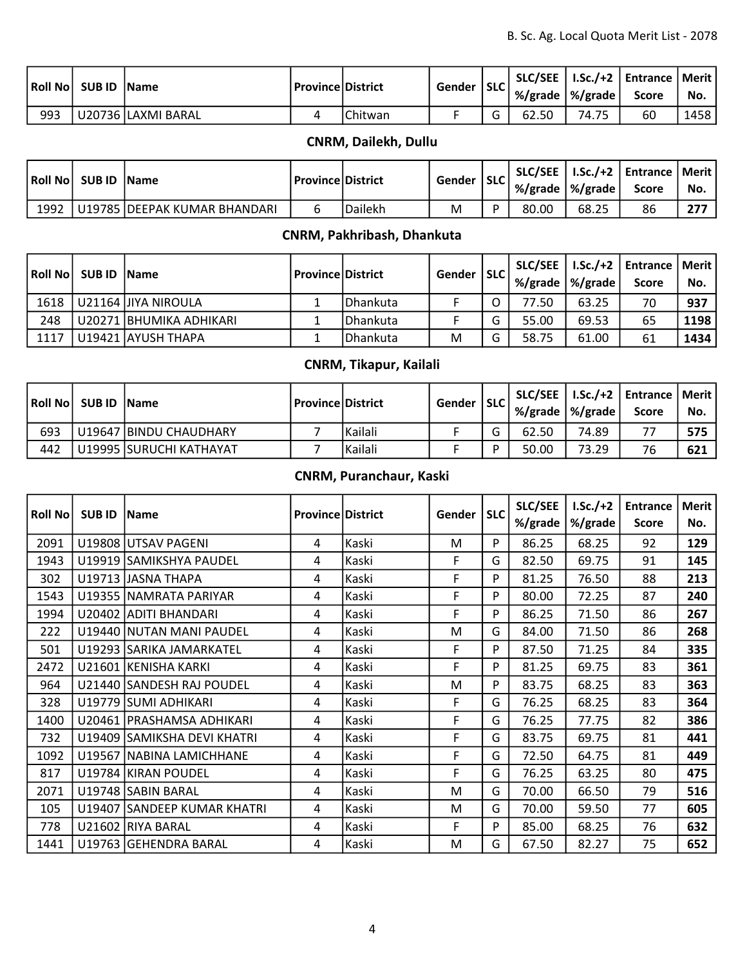|     | <b>SUB ID   Name</b> |                    | l Province   District |         | Gender | <b>SLC</b> | %/grade $\vert \%$ /grade $\vert$ |       | SLC/SEE   I.Sc./+2   Entrance   Merit  <br><b>Score</b> | No.  |
|-----|----------------------|--------------------|-----------------------|---------|--------|------------|-----------------------------------|-------|---------------------------------------------------------|------|
| 993 |                      | U20736 LAXMI BARAL |                       | Chitwan |        |            | 62.50                             | 74.75 | 60                                                      | 1458 |

## CNRM, Dailekh, Dullu

| <b>Roll Nol</b> | <b>SUB ID   Name</b> |                               | l Province   District |                      | Gender | <b>SLC</b> | %/grade   %/grade |       | SLC/SEE   I.Sc./+2   Entrance   Merit  <br><b>Score</b> | No. |
|-----------------|----------------------|-------------------------------|-----------------------|----------------------|--------|------------|-------------------|-------|---------------------------------------------------------|-----|
| 1992            |                      | U19785 IDEEPAK KUMAR BHANDARI |                       | <sup>I</sup> Dailekh | M      | D          | 80.00             | 68.25 | 86                                                      | 277 |

### CNRM, Pakhribash, Dhankuta

| l Roll Nol | <b>SUB ID   Name</b> |                          | l Province   District |          | Gender   SLC |   | %/grade | %/grade | SLC/SEE   I.Sc./+2   Entrance   Merit  <br><b>Score</b> | No.  |
|------------|----------------------|--------------------------|-----------------------|----------|--------------|---|---------|---------|---------------------------------------------------------|------|
| 1618       |                      | U21164 JJIYA NIROULA     |                       | Dhankuta |              |   | 77.50   | 63.25   | 70                                                      | 937  |
| 248        |                      | U20271  BHUMIKA ADHIKARI |                       | Dhankuta |              | ∽ | 55.00   | 69.53   | 65                                                      | 1198 |
| 1117       |                      | U19421 AYUSH THAPA       |                       | Dhankuta | M            | ∽ | 58.75   | 61.00   | 61                                                      | 1434 |

## CNRM, Tikapur, Kailali

|     | Roll No SUB ID Name |                          | Province   District |         | Gender   SLC |       | %/grade   %/grade | SLC/SEE   I.Sc./+2   Entrance   Merit  <br><b>Score</b> | No.  |
|-----|---------------------|--------------------------|---------------------|---------|--------------|-------|-------------------|---------------------------------------------------------|------|
| 693 |                     | U19647 BINDU CHAUDHARY   |                     | Kailali |              | 62.50 | 74.89             |                                                         | 575  |
| 442 |                     | U19995 ISURUCHI KATHAYAT |                     | Kailali |              | 50.00 | 73.29             | 76                                                      | -621 |

## CNRM, Puranchaur, Kaski

| <b>Roll No</b> | <b>SUB ID</b> | <b>Name</b>                 | <b>Province District</b> |       | Gender | <b>SLC</b> | <b>SLC/SEE</b><br>%/grade | $LSc./+2$<br>%/grade | <b>Entrance</b><br><b>Score</b> | <b>Merit</b><br>No. |
|----------------|---------------|-----------------------------|--------------------------|-------|--------|------------|---------------------------|----------------------|---------------------------------|---------------------|
| 2091           |               | U19808 UTSAV PAGENI         | 4                        | Kaski | M      | P          | 86.25                     | 68.25                | 92                              | 129                 |
| 1943           |               | U19919 SAMIKSHYA PAUDEL     | 4                        | Kaski | F      | G          | 82.50                     | 69.75                | 91                              | 145                 |
| 302            |               | U19713 JASNA THAPA          | 4                        | Kaski | F      | P          | 81.25                     | 76.50                | 88                              | 213                 |
| 1543           |               | U19355 NAMRATA PARIYAR      | 4                        | Kaski | F      | P          | 80.00                     | 72.25                | 87                              | 240                 |
| 1994           |               | U20402 ADITI BHANDARI       | 4                        | Kaski | F      | P          | 86.25                     | 71.50                | 86                              | 267                 |
| 222            |               | U19440 NUTAN MANI PAUDEL    | 4                        | Kaski | M      | G          | 84.00                     | 71.50                | 86                              | 268                 |
| 501            |               | U19293 SARIKA JAMARKATEL    | 4                        | Kaski | F      | P          | 87.50                     | 71.25                | 84                              | 335                 |
| 2472           |               | U21601 KENISHA KARKI        | 4                        | Kaski | F      | P          | 81.25                     | 69.75                | 83                              | 361                 |
| 964            |               | U21440 SANDESH RAJ POUDEL   | 4                        | Kaski | M      | P          | 83.75                     | 68.25                | 83                              | 363                 |
| 328            |               | U19779 SUMI ADHIKARI        | 4                        | Kaski | F      | G          | 76.25                     | 68.25                | 83                              | 364                 |
| 1400           |               | U20461   PRASHAMSA ADHIKARI | 4                        | Kaski | F      | G          | 76.25                     | 77.75                | 82                              | 386                 |
| 732            |               | U19409 SAMIKSHA DEVI KHATRI | 4                        | Kaski | F      | G          | 83.75                     | 69.75                | 81                              | 441                 |
| 1092           |               | U19567   NABINA LAMICHHANE  | 4                        | Kaski | F      | G          | 72.50                     | 64.75                | 81                              | 449                 |
| 817            |               | U19784 KIRAN POUDEL         | 4                        | Kaski | F      | G          | 76.25                     | 63.25                | 80                              | 475                 |
| 2071           |               | U19748 SABIN BARAL          | 4                        | Kaski | M      | G          | 70.00                     | 66.50                | 79                              | 516                 |
| 105            |               | U19407 SANDEEP KUMAR KHATRI | 4                        | Kaski | M      | G          | 70.00                     | 59.50                | 77                              | 605                 |
| 778            |               | U21602 RIYA BARAL           | 4                        | Kaski | F      | P          | 85.00                     | 68.25                | 76                              | 632                 |
| 1441           |               | U19763 GEHENDRA BARAL       | 4                        | Kaski | M      | G          | 67.50                     | 82.27                | 75                              | 652                 |